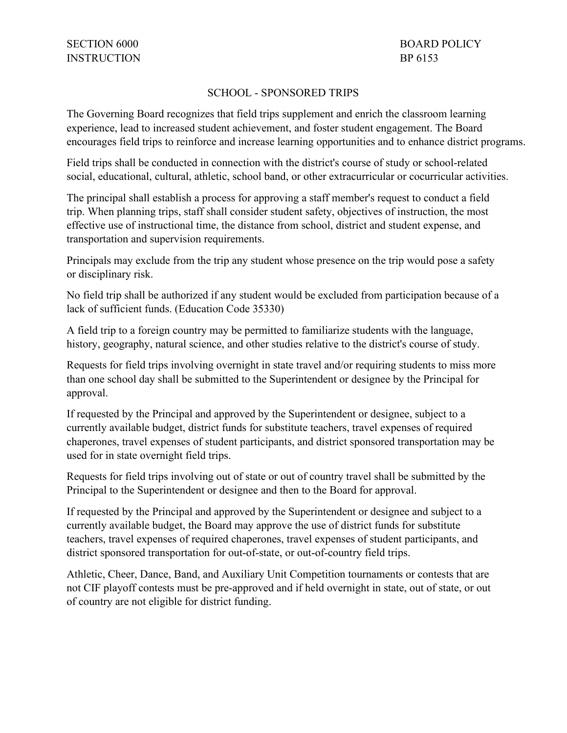## SCHOOL - SPONSORED TRIPS

The Governing Board recognizes that field trips supplement and enrich the classroom learning experience, lead to increased student achievement, and foster student engagement. The Board encourages field trips to reinforce and increase learning opportunities and to enhance district programs.

 social, educational, cultural, athletic, school band, or other extracurricular or cocurricular activities. Field trips shall be conducted in connection with the district's course of study or school-related

The principal shall establish a process for approving a staff member's request to conduct a field trip. When planning trips, staff shall consider student safety, objectives of instruction, the most effective use of instructional time, the distance from school, district and student expense, and transportation and supervision requirements.

Principals may exclude from the trip any student whose presence on the trip would pose a safety or disciplinary risk.

No field trip shall be authorized if any student would be excluded from participation because of a lack of sufficient funds. (Education Code 35330)

A field trip to a foreign country may be permitted to familiarize students with the language, history, geography, natural science, and other studies relative to the district's course of study.

Requests for field trips involving overnight in state travel and/or requiring students to miss more than one school day shall be submitted to the Superintendent or designee by the Principal for approval.

 currently available budget, district funds for substitute teachers, travel expenses of required If requested by the Principal and approved by the Superintendent or designee, subject to a chaperones, travel expenses of student participants, and district sponsored transportation may be used for in state overnight field trips.

 Principal to the Superintendent or designee and then to the Board for approval. Requests for field trips involving out of state or out of country travel shall be submitted by the

district sponsored transportation for out-of-state, or out-of-country field trips. If requested by the Principal and approved by the Superintendent or designee and subject to a currently available budget, the Board may approve the use of district funds for substitute teachers, travel expenses of required chaperones, travel expenses of student participants, and

 district sponsored transportation for out-of-state, or out-of-country field trips. Athletic, Cheer, Dance, Band, and Auxiliary Unit Competition tournaments or contests that are not CIF playoff contests must be pre-approved and if held overnight in state, out of state, or out of country are not eligible for district funding.